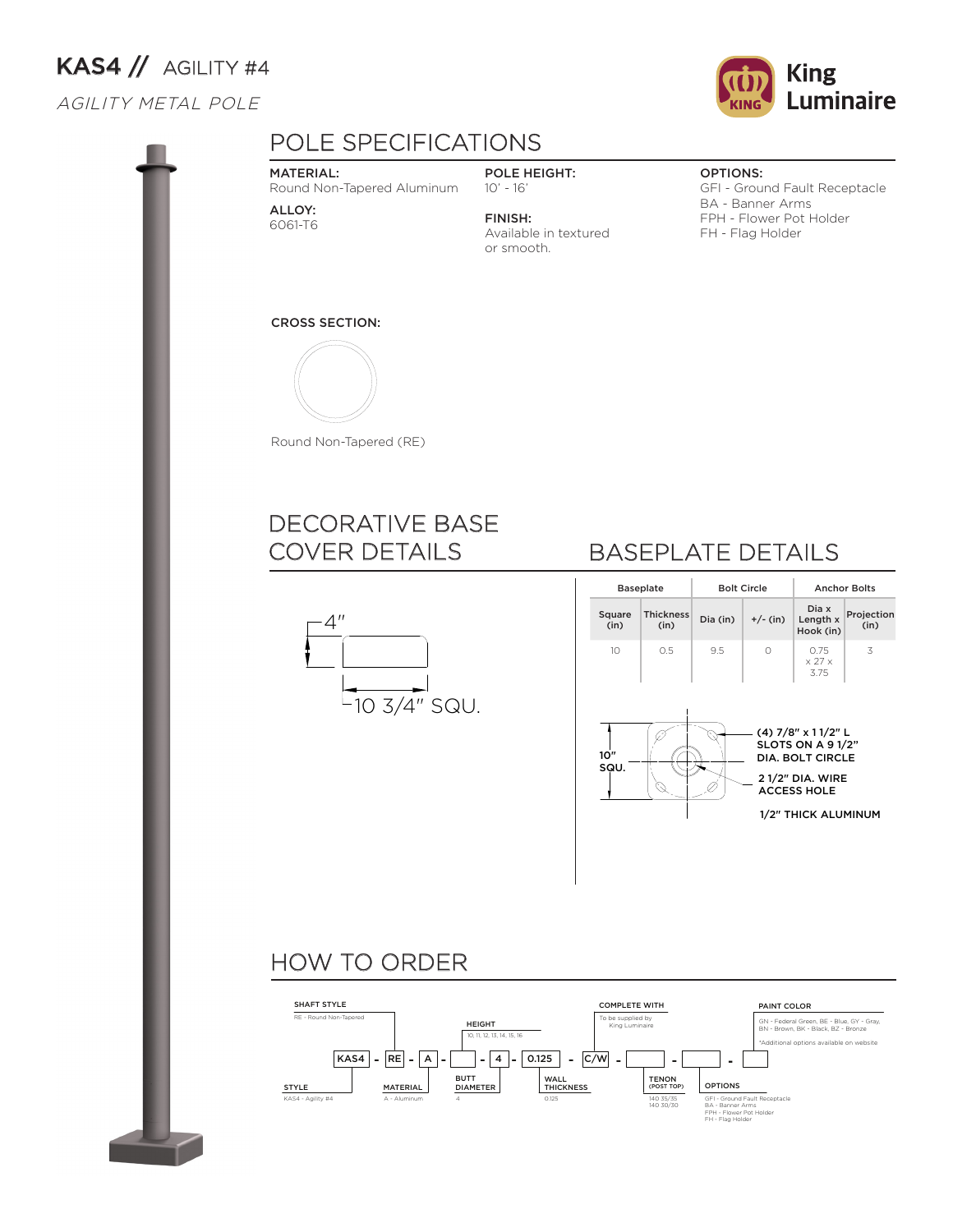# KAS4 // AGILITY #4

#### AGILITY METAL POLE



#### MATERIAL:

Round Non-Tapered Aluminum

ALLOY: 6061-T6

POLE HEIGHT: 10' - 16'

Available in textured

FINISH:

or smooth.

OPTIONS:

GFI - Ground Fault Receptacle BA - Banner Arms FPH - Flower Pot Holder FH - Flag Holder

#### CROSS SECTION:



Round Non-Tapered (RE)

### DECORATIVE BASE COVER DETAILS



## BASEPLATE DETAILS

|                   | <b>Baseplate</b>         |          | <b>Bolt Circle</b> | <b>Anchor Bolts</b>                                                                                                                                                              |                    |  |  |
|-------------------|--------------------------|----------|--------------------|----------------------------------------------------------------------------------------------------------------------------------------------------------------------------------|--------------------|--|--|
| Square<br>(in)    | <b>Thickness</b><br>(in) | Dia (in) | $+/-$ (in)         | Dia x<br>Length x<br>Hook (in)                                                                                                                                                   | Projection<br>(in) |  |  |
| 10<br>10"<br>SQU. | 0.5                      | 9.5      | Ω                  | 0.75<br>$\times$ 27 $\times$<br>3.75<br>(4) 7/8" x 11/2" L<br>SLOTS ON A 91/2"<br><b>DIA. BOLT CIRCLE</b><br><b>21/2" DIA. WIRE</b><br><b>ACCESS HOLE</b><br>1/2" THICK ALUMINUM | 3                  |  |  |

### HOW TO ORDER